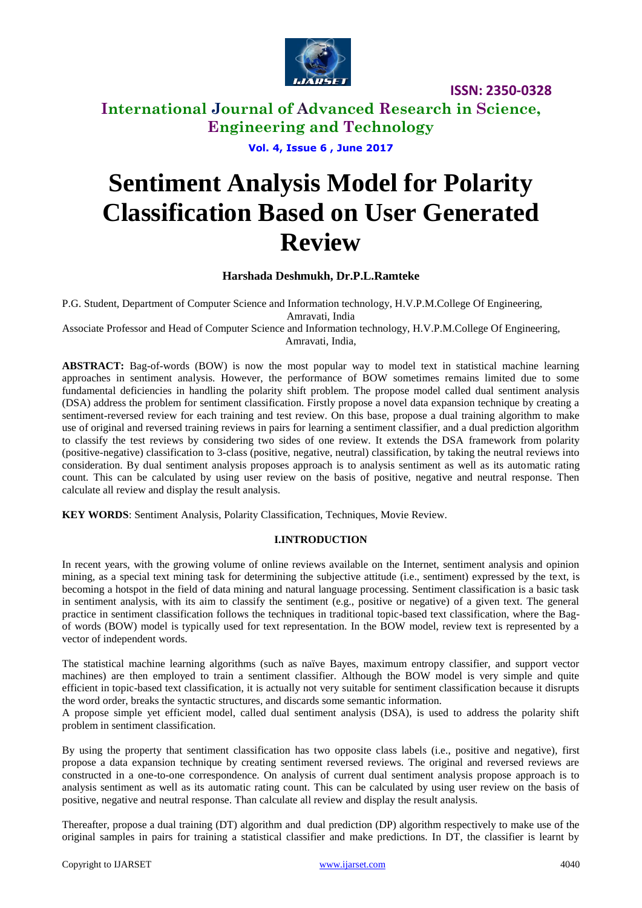

# **International Journal of Advanced Research in Science, Engineering and Technology**

**Vol. 4, Issue 6 , June 2017**

# **Sentiment Analysis Model for Polarity Classification Based on User Generated Review**

# **Harshada Deshmukh, Dr.P.L.Ramteke**

P.G. Student, Department of Computer Science and Information technology, H.V.P.M.College Of Engineering,

Amravati, India

Associate Professor and Head of Computer Science and Information technology, H.V.P.M.College Of Engineering, Amravati, India,

**ABSTRACT:** Bag-of-words (BOW) is now the most popular way to model text in statistical machine learning approaches in sentiment analysis. However, the performance of BOW sometimes remains limited due to some fundamental deficiencies in handling the polarity shift problem. The propose model called dual sentiment analysis (DSA) address the problem for sentiment classification. Firstly propose a novel data expansion technique by creating a sentiment-reversed review for each training and test review. On this base, propose a dual training algorithm to make use of original and reversed training reviews in pairs for learning a sentiment classifier, and a dual prediction algorithm to classify the test reviews by considering two sides of one review. It extends the DSA framework from polarity (positive-negative) classification to 3-class (positive, negative, neutral) classification, by taking the neutral reviews into consideration. By dual sentiment analysis proposes approach is to analysis sentiment as well as its automatic rating count. This can be calculated by using user review on the basis of positive, negative and neutral response. Then calculate all review and display the result analysis.

**KEY WORDS**: Sentiment Analysis, Polarity Classification, Techniques, Movie Review.

# **I.INTRODUCTION**

In recent years, with the growing volume of online reviews available on the Internet, sentiment analysis and opinion mining, as a special text mining task for determining the subjective attitude (i.e., sentiment) expressed by the text, is becoming a hotspot in the field of data mining and natural language processing. Sentiment classification is a basic task in sentiment analysis, with its aim to classify the sentiment (e.g., positive or negative) of a given text. The general practice in sentiment classification follows the techniques in traditional topic-based text classification, where the Bagof words (BOW) model is typically used for text representation. In the BOW model, review text is represented by a vector of independent words.

The statistical machine learning algorithms (such as naïve Bayes, maximum entropy classifier, and support vector machines) are then employed to train a sentiment classifier. Although the BOW model is very simple and quite efficient in topic-based text classification, it is actually not very suitable for sentiment classification because it disrupts the word order, breaks the syntactic structures, and discards some semantic information.

A propose simple yet efficient model, called dual sentiment analysis (DSA), is used to address the polarity shift problem in sentiment classification.

By using the property that sentiment classification has two opposite class labels (i.e., positive and negative), first propose a data expansion technique by creating sentiment reversed reviews. The original and reversed reviews are constructed in a one-to-one correspondence. On analysis of current dual sentiment analysis propose approach is to analysis sentiment as well as its automatic rating count. This can be calculated by using user review on the basis of positive, negative and neutral response. Than calculate all review and display the result analysis.

Thereafter, propose a dual training (DT) algorithm and dual prediction (DP) algorithm respectively to make use of the original samples in pairs for training a statistical classifier and make predictions. In DT, the classifier is learnt by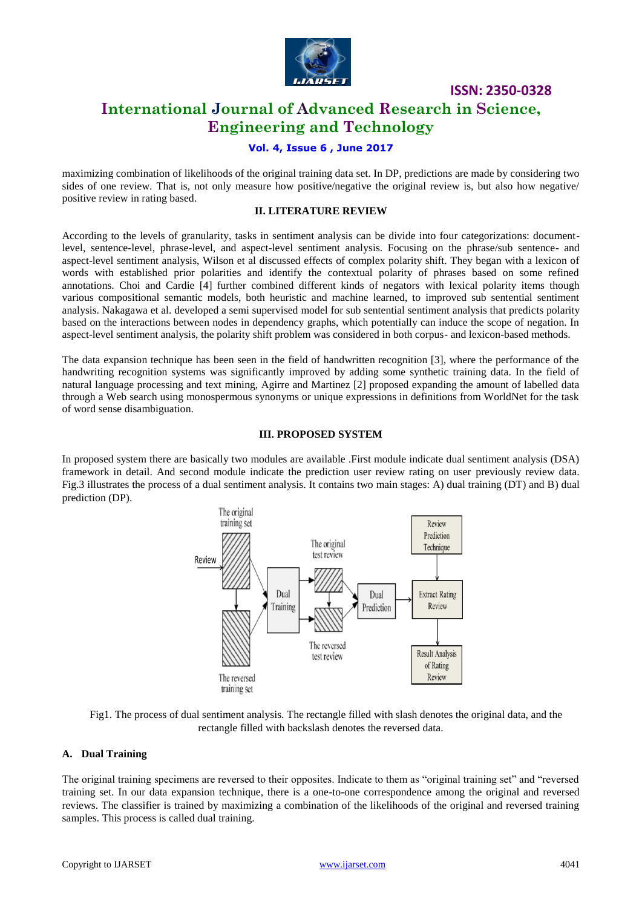

# **International Journal of Advanced Research in Science, Engineering and Technology**

# **Vol. 4, Issue 6 , June 2017**

maximizing combination of likelihoods of the original training data set. In DP, predictions are made by considering two sides of one review. That is, not only measure how positive/negative the original review is, but also how negative/ positive review in rating based.

# **II. LITERATURE REVIEW**

According to the levels of granularity, tasks in sentiment analysis can be divide into four categorizations: documentlevel, sentence-level, phrase-level, and aspect-level sentiment analysis. Focusing on the phrase/sub sentence- and aspect-level sentiment analysis, Wilson et al discussed effects of complex polarity shift. They began with a lexicon of words with established prior polarities and identify the contextual polarity of phrases based on some refined annotations. Choi and Cardie [4] further combined different kinds of negators with lexical polarity items though various compositional semantic models, both heuristic and machine learned, to improved sub sentential sentiment analysis. Nakagawa et al. developed a semi supervised model for sub sentential sentiment analysis that predicts polarity based on the interactions between nodes in dependency graphs, which potentially can induce the scope of negation. In aspect-level sentiment analysis, the polarity shift problem was considered in both corpus- and lexicon-based methods.

The data expansion technique has been seen in the field of handwritten recognition [3], where the performance of the handwriting recognition systems was significantly improved by adding some synthetic training data. In the field of natural language processing and text mining, Agirre and Martinez [2] proposed expanding the amount of labelled data through a Web search using monospermous synonyms or unique expressions in definitions from WorldNet for the task of word sense disambiguation.

# **III. PROPOSED SYSTEM**

In proposed system there are basically two modules are available .First module indicate dual sentiment analysis (DSA) framework in detail. And second module indicate the prediction user review rating on user previously review data. Fig.3 illustrates the process of a dual sentiment analysis. It contains two main stages: A) dual training (DT) and B) dual prediction (DP).



Fig1. The process of dual sentiment analysis. The rectangle filled with slash denotes the original data, and the rectangle filled with backslash denotes the reversed data.

# **A. Dual Training**

The original training specimens are reversed to their opposites. Indicate to them as "original training set" and "reversed training set. In our data expansion technique, there is a one-to-one correspondence among the original and reversed reviews. The classifier is trained by maximizing a combination of the likelihoods of the original and reversed training samples. This process is called dual training.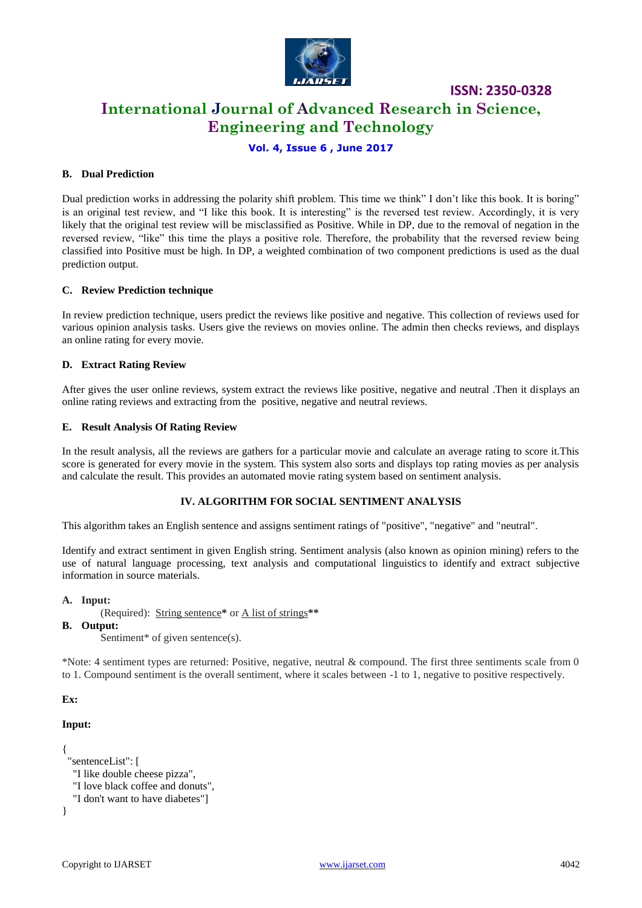

# **International Journal of Advanced Research in Science, Engineering and Technology**

# **Vol. 4, Issue 6 , June 2017**

# **B. Dual Prediction**

Dual prediction works in addressing the polarity shift problem. This time we think" I don't like this book. It is boring" is an original test review, and "I like this book. It is interesting" is the reversed test review. Accordingly, it is very likely that the original test review will be misclassified as Positive. While in DP, due to the removal of negation in the reversed review, "like" this time the plays a positive role. Therefore, the probability that the reversed review being classified into Positive must be high. In DP, a weighted combination of two component predictions is used as the dual prediction output.

#### **C. Review Prediction technique**

In review prediction technique, users predict the reviews like positive and negative. This collection of reviews used for various opinion analysis tasks. Users give the reviews on movies online. The admin then checks reviews, and displays an online rating for every movie.

#### **D. Extract Rating Review**

After gives the user online reviews, system extract the reviews like positive, negative and neutral .Then it displays an online rating reviews and extracting from the positive, negative and neutral reviews.

#### **E. Result Analysis Of Rating Review**

In the result analysis, all the reviews are gathers for a particular movie and calculate an average rating to score it.This score is generated for every movie in the system. This system also sorts and displays top rating movies as per analysis and calculate the result. This provides an automated movie rating system based on sentiment analysis.

# **IV. ALGORITHM FOR SOCIAL SENTIMENT ANALYSIS**

This algorithm takes an English sentence and assigns sentiment ratings of "positive", "negative" and "neutral".

Identify and extract sentiment in given English string. Sentiment analysis (also known as opinion mining) refers to the use of natural language processing, text analysis and computational linguistics to identify and extract subjective information in source materials.

#### **A. Input:**

(Required): String sentence**\*** or A list of strings**\*\***

#### **B. Output:**

Sentiment<sup>\*</sup> of given sentence(s).

\*Note: 4 sentiment types are returned: Positive, negative, neutral & compound. The first three sentiments scale from 0 to 1. Compound sentiment is the overall sentiment, where it scales between -1 to 1, negative to positive respectively.

#### **Ex:**

```
Input:
```

```
{
  "sentenceList": [
   "I like double cheese pizza",
   "I love black coffee and donuts",
   "I don't want to have diabetes"]
}
```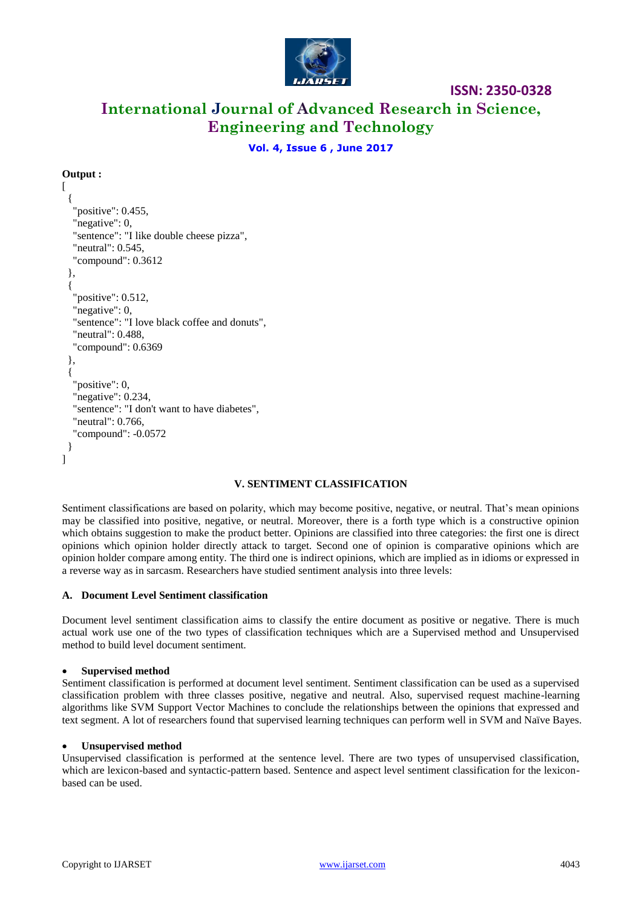

# **International Journal of Advanced Research in Science, Engineering and Technology**

**Vol. 4, Issue 6 , June 2017**

# **Output :**

```
\lceil {
    "positive": 0.455,
   "negative": 0,
   "sentence": "I like double cheese pizza",
   "neutral": 0.545,
   "compound": 0.3612
  },
  {
   "positive": 0.512,
   "negative": 0,
   "sentence": "I love black coffee and donuts",
   "neutral": 0.488,
   "compound": 0.6369
  },
  {
   "positive": 0,
   "negative": 0.234,
   "sentence": "I don't want to have diabetes",
   "neutral": 0.766,
   "compound": -0.0572
  }
]
```
# **V. SENTIMENT CLASSIFICATION**

Sentiment classifications are based on polarity, which may become positive, negative, or neutral. That's mean opinions may be classified into positive, negative, or neutral. Moreover, there is a forth type which is a constructive opinion which obtains suggestion to make the product better. Opinions are classified into three categories: the first one is direct opinions which opinion holder directly attack to target. Second one of opinion is comparative opinions which are opinion holder compare among entity. The third one is indirect opinions, which are implied as in idioms or expressed in a reverse way as in sarcasm. Researchers have studied sentiment analysis into three levels:

# **A. Document Level Sentiment classification**

Document level sentiment classification aims to classify the entire document as positive or negative. There is much actual work use one of the two types of classification techniques which are a Supervised method and Unsupervised method to build level document sentiment.

#### **Supervised method**

Sentiment classification is performed at document level sentiment. Sentiment classification can be used as a supervised classification problem with three classes positive, negative and neutral. Also, supervised request machine-learning algorithms like SVM Support Vector Machines to conclude the relationships between the opinions that expressed and text segment. A lot of researchers found that supervised learning techniques can perform well in SVM and Naïve Bayes.

#### **Unsupervised method**

Unsupervised classification is performed at the sentence level. There are two types of unsupervised classification, which are lexicon-based and syntactic-pattern based. Sentence and aspect level sentiment classification for the lexiconbased can be used.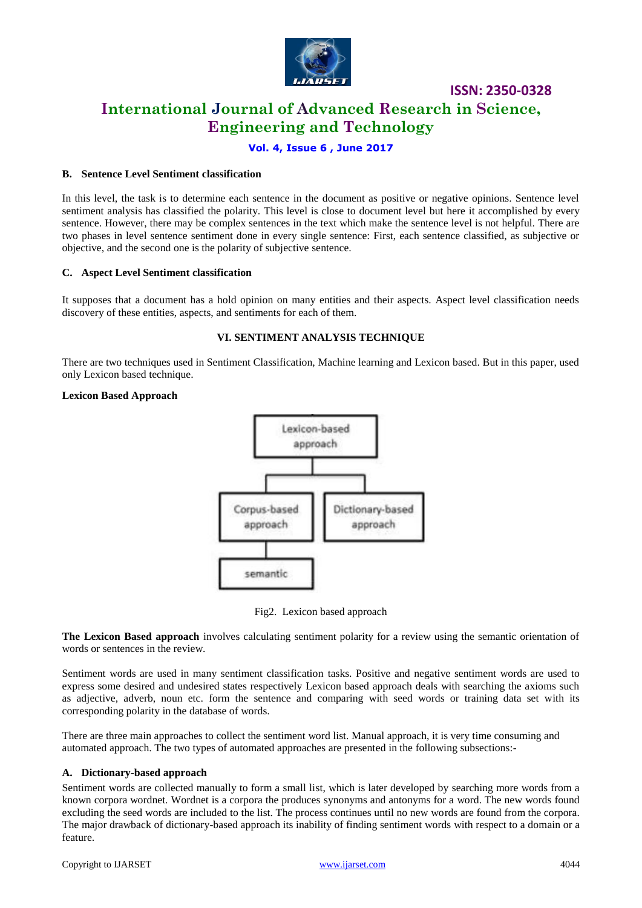

# **International Journal of Advanced Research in Science, Engineering and Technology**

# **Vol. 4, Issue 6 , June 2017**

# **B. Sentence Level Sentiment classification**

In this level, the task is to determine each sentence in the document as positive or negative opinions. Sentence level sentiment analysis has classified the polarity. This level is close to document level but here it accomplished by every sentence. However, there may be complex sentences in the text which make the sentence level is not helpful. There are two phases in level sentence sentiment done in every single sentence: First, each sentence classified, as subjective or objective, and the second one is the polarity of subjective sentence.

# **C. Aspect Level Sentiment classification**

It supposes that a document has a hold opinion on many entities and their aspects. Aspect level classification needs discovery of these entities, aspects, and sentiments for each of them.

# **VI. SENTIMENT ANALYSIS TECHNIQUE**

There are two techniques used in Sentiment Classification, Machine learning and Lexicon based. But in this paper, used only Lexicon based technique.

#### **Lexicon Based Approach**



Fig2. Lexicon based approach

**The Lexicon Based approach** involves calculating sentiment polarity for a review using the semantic orientation of words or sentences in the review.

Sentiment words are used in many sentiment classification tasks. Positive and negative sentiment words are used to express some desired and undesired states respectively Lexicon based approach deals with searching the axioms such as adjective, adverb, noun etc. form the sentence and comparing with seed words or training data set with its corresponding polarity in the database of words.

There are three main approaches to collect the sentiment word list. Manual approach, it is very time consuming and automated approach. The two types of automated approaches are presented in the following subsections:-

# **A. Dictionary-based approach**

Sentiment words are collected manually to form a small list, which is later developed by searching more words from a known corpora wordnet. Wordnet is a corpora the produces synonyms and antonyms for a word. The new words found excluding the seed words are included to the list. The process continues until no new words are found from the corpora. The major drawback of dictionary-based approach its inability of finding sentiment words with respect to a domain or a feature.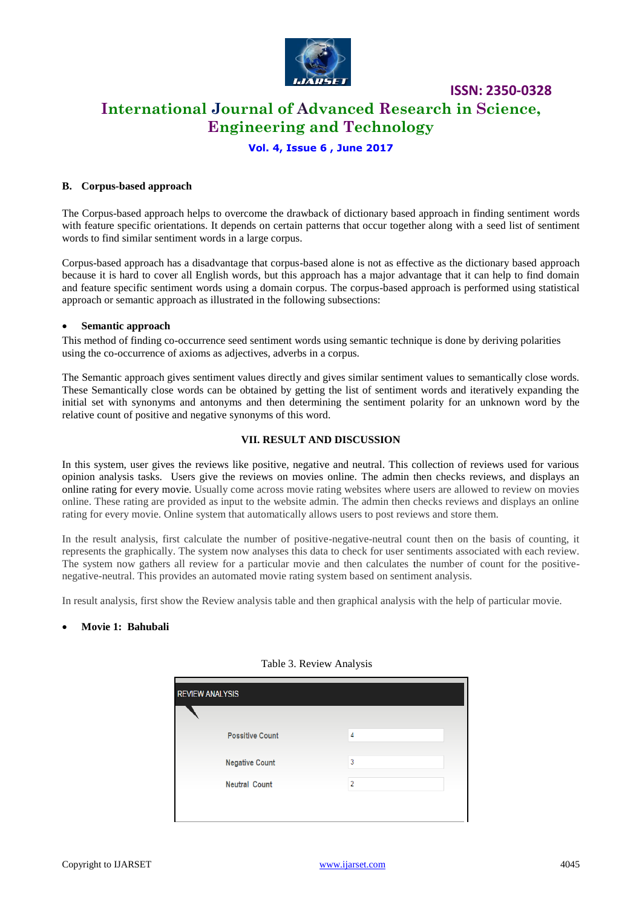

**International Journal of Advanced Research in Science, Engineering and Technology**

**ISSN: 2350-0328**

# **Vol. 4, Issue 6 , June 2017**

# **B. Corpus-based approach**

The Corpus-based approach helps to overcome the drawback of dictionary based approach in finding sentiment words with feature specific orientations. It depends on certain patterns that occur together along with a seed list of sentiment words to find similar sentiment words in a large corpus.

Corpus-based approach has a disadvantage that corpus-based alone is not as effective as the dictionary based approach because it is hard to cover all English words, but this approach has a major advantage that it can help to find domain and feature specific sentiment words using a domain corpus. The corpus-based approach is performed using statistical approach or semantic approach as illustrated in the following subsections:

#### **Semantic approach**

This method of finding co-occurrence seed sentiment words using semantic technique is done by deriving polarities using the co-occurrence of axioms as adjectives, adverbs in a corpus.

The Semantic approach gives sentiment values directly and gives similar sentiment values to semantically close words. These Semantically close words can be obtained by getting the list of sentiment words and iteratively expanding the initial set with synonyms and antonyms and then determining the sentiment polarity for an unknown word by the relative count of positive and negative synonyms of this word.

#### **VII. RESULT AND DISCUSSION**

In this system, user gives the reviews like positive, negative and neutral. This collection of reviews used for various opinion analysis tasks. Users give the reviews on movies online. The admin then checks reviews, and displays an online rating for every movie. Usually come across movie rating websites where users are allowed to review on movies online. These rating are provided as input to the website admin. The admin then checks reviews and displays an online rating for every movie. Online system that automatically allows users to post reviews and store them.

In the result analysis, first calculate the number of positive-negative-neutral count then on the basis of counting, it represents the graphically. The system now analyses this data to check for user sentiments associated with each review. The system now gathers all review for a particular movie and then calculates the number of count for the positivenegative-neutral. This provides an automated movie rating system based on sentiment analysis.

In result analysis, first show the Review analysis table and then graphical analysis with the help of particular movie.

# **Movie 1: Bahubali**

| <b>REVIEW ANALYSIS</b> |                |  |
|------------------------|----------------|--|
| <b>Possitive Count</b> | 4              |  |
| <b>Negative Count</b>  | 3              |  |
| <b>Neutral Count</b>   | $\overline{a}$ |  |
|                        |                |  |

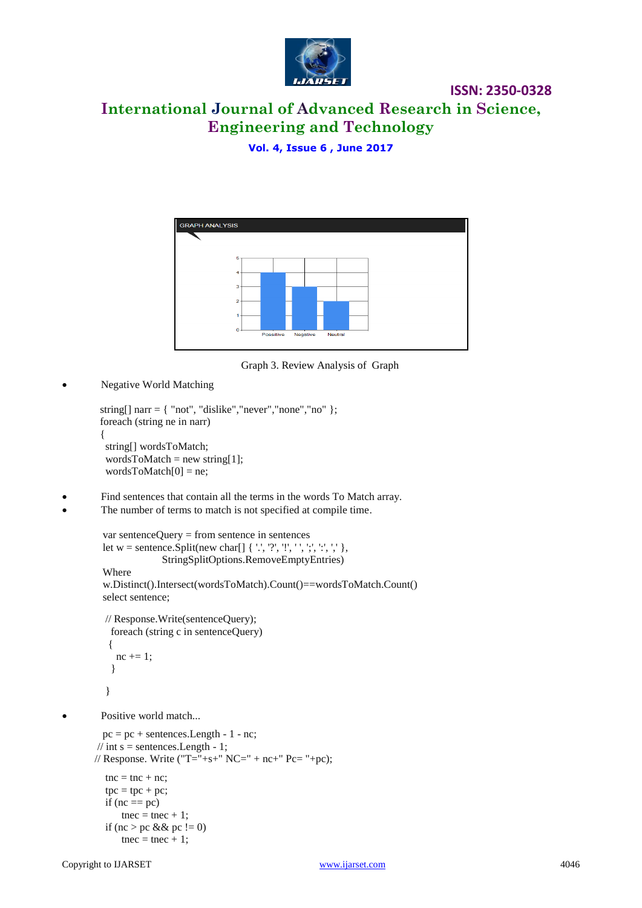

# **International Journal of Advanced Research in Science, Engineering and Technology**

**Vol. 4, Issue 6 , June 2017**



Graph 3. Review Analysis of Graph

Negative World Matching

```
string[] narr = { 'not', 'dislike', 'never', 'none', 'no' }; foreach (string ne in narr)
\{ string[] wordsToMatch;
         wordsToMatch = new string[1];
         wordsToMatch[0] = ne;
```
- Find sentences that contain all the terms in the words To Match array.
- The number of terms to match is not specified at compile time.

```
 var sentenceQuery = from sentence in sentences
 let w = sentence.Split(new char[] { '.', '?', '!', ' ', ';', ':', ',' },
               StringSplitOptions.RemoveEmptyEntries)
 Where 
 w.Distinct().Intersect(wordsToMatch).Count()==wordsToMatch.Count()
 select sentence;
 // Response.Write(sentenceQuery);
  foreach (string c in sentenceQuery)
  {
  nc += 1:
   }
 }
```
Positive world match...

```
pc = pc + sentences.Length - 1 - nc;\frac{1}{1} int s = sentences. Length - 1;
// Response. Write ("T="+s+" NC=" + nc+" Pc="+pc);
  tnc = tnc + nc;tpc = tpc + pc;if (nc == pc)tnec = tnec + 1;
  if (nc > pc && pc != 0)
      tnec = tnec + 1;
```